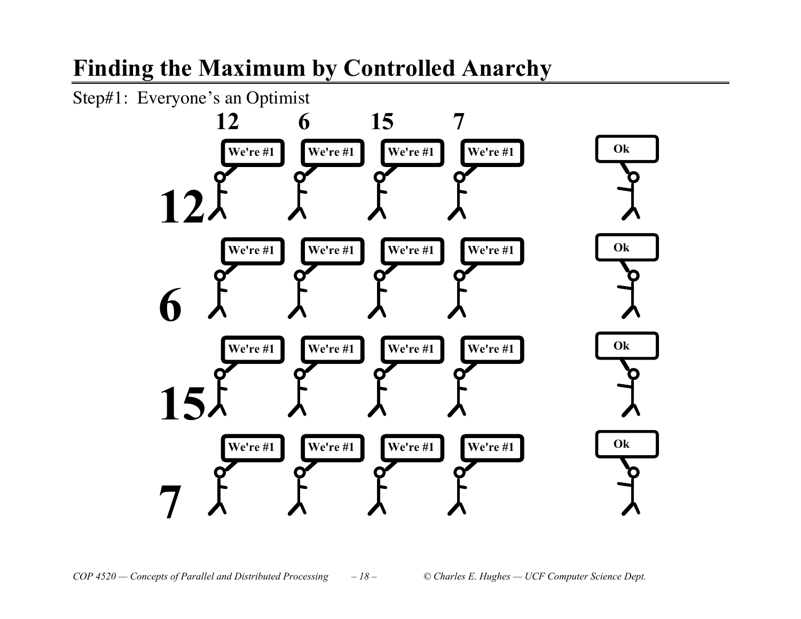# **Finding the Maximum by Controlled Anarchy**

Step#1: Everyone's an Optimist

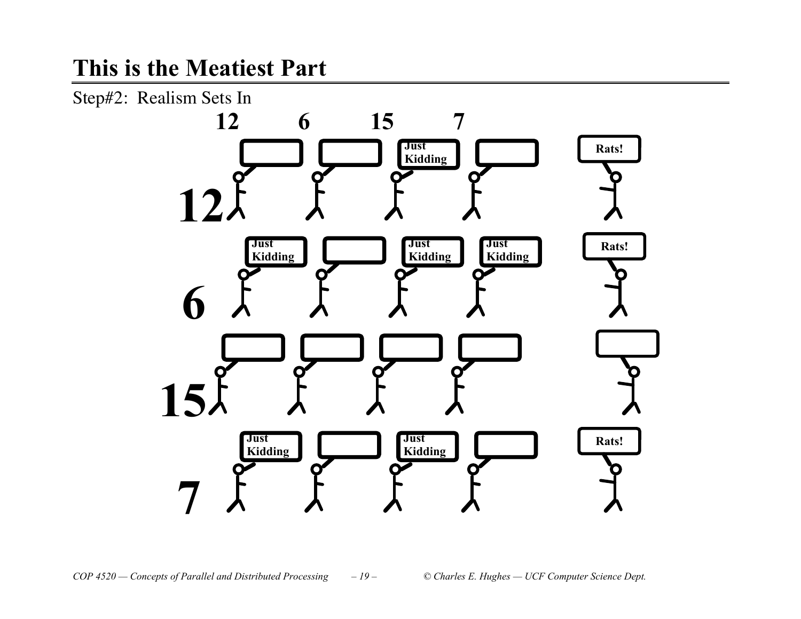### **This is the Meatiest Part**

Step#2: Realism Sets In

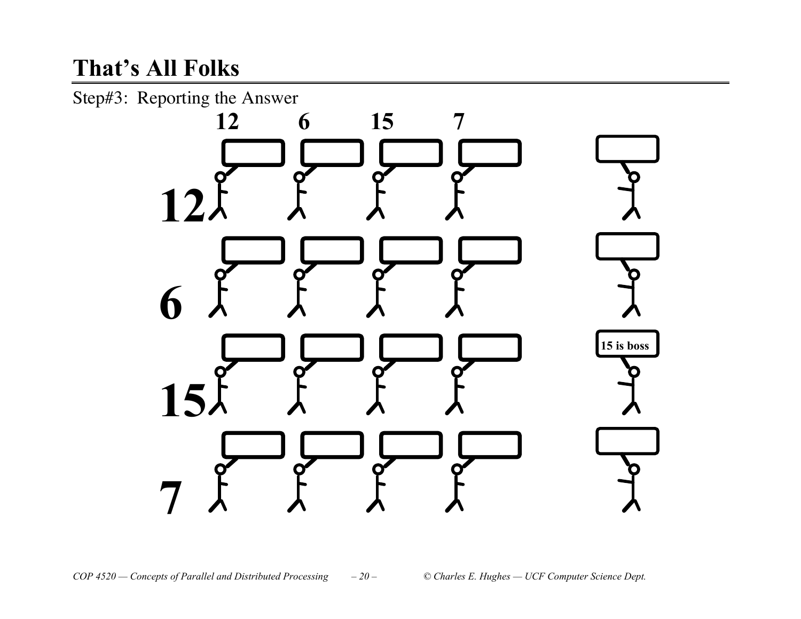# **That%s All Folks**

Step#3: Reporting the Answer

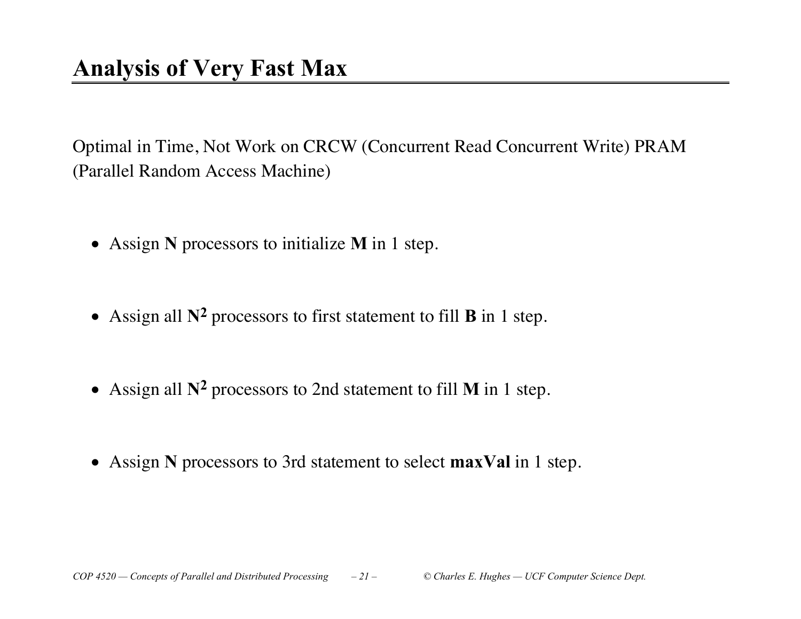Optimal in Time, Not Work on CRCW (Concurrent Read Concurrent Write) PRAM (Parallel Random Access Machine)

- Assign **N** processors to initialize **M** in 1 step.
- Assign all  $\mathbb{N}^2$  processors to first statement to fill **B** in 1 step.
- Assign all  $N^2$  processors to 2nd statement to fill **M** in 1 step.
- x Assign **N** processors to 3rd statement to select **maxVal** in 1 step.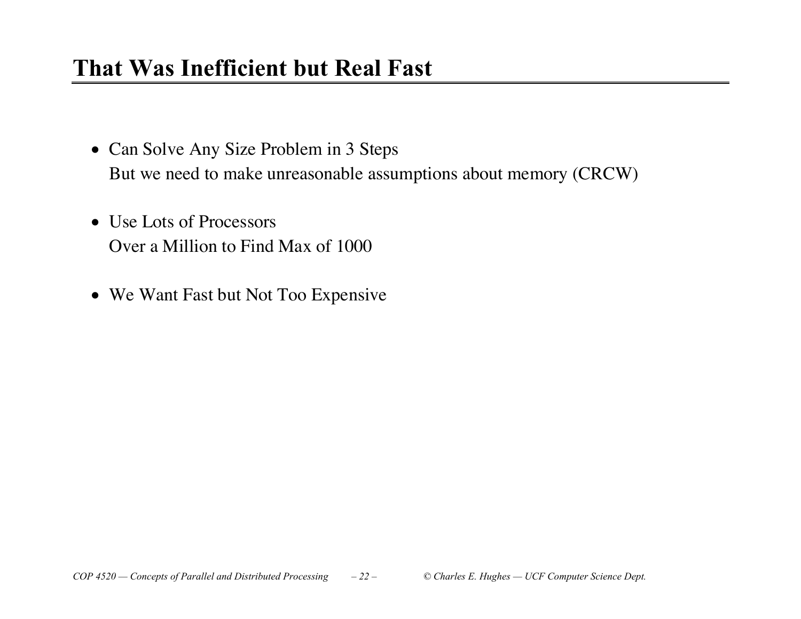## **That Was Inefficient but Real Fast**

- Can Solve Any Size Problem in 3 Steps But we need to make unreasonable assumptions about memory (CRCW)
- Use Lots of Processors Over a Million to Find Max of 1000
- We Want Fast but Not Too Expensive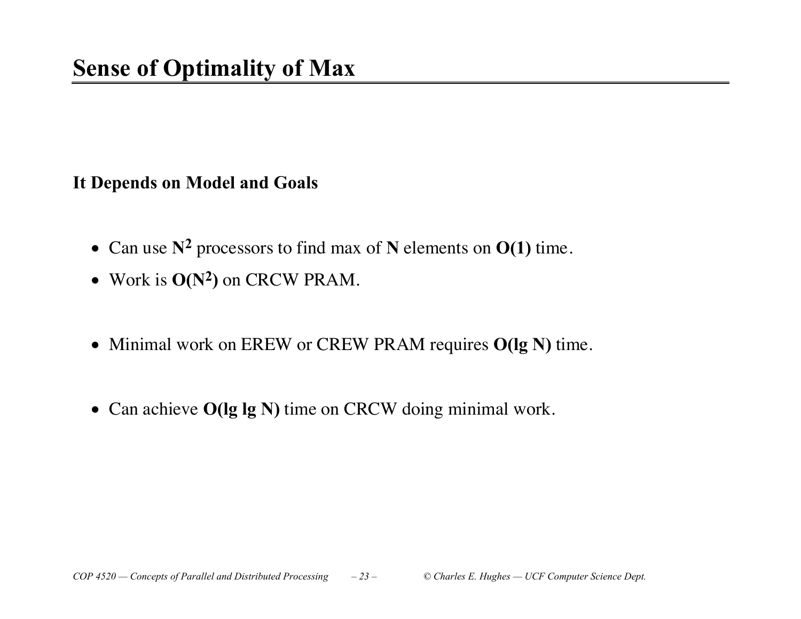#### **It Depends on Model and Goals**

- Can use  $N^2$  processors to find max of N elements on  $O(1)$  time.
- Work is  $O(N^2)$  on CRCW PRAM.
- Minimal work on EREW or CREW PRAM requires **O(lg N)** time.
- Can achieve **O(lg lg N)** time on CRCW doing minimal work.